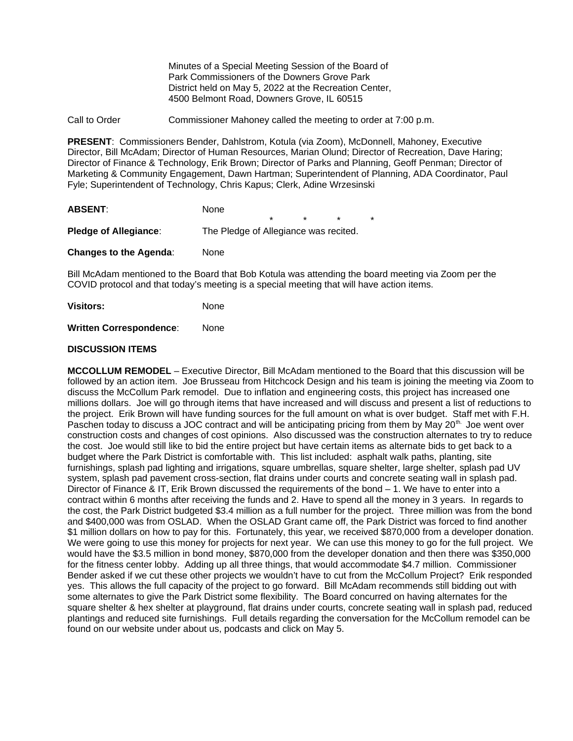Minutes of a Special Meeting Session of the Board of Park Commissioners of the Downers Grove Park District held on May 5, 2022 at the Recreation Center, 4500 Belmont Road, Downers Grove, IL 60515

Call to Order Commissioner Mahoney called the meeting to order at 7:00 p.m.

**PRESENT**: Commissioners Bender, Dahlstrom, Kotula (via Zoom), McDonnell, Mahoney, Executive Director, Bill McAdam; Director of Human Resources, Marian Olund; Director of Recreation, Dave Haring; Director of Finance & Technology, Erik Brown; Director of Parks and Planning, Geoff Penman; Director of Marketing & Community Engagement, Dawn Hartman; Superintendent of Planning, ADA Coordinator, Paul Fyle; Superintendent of Technology, Chris Kapus; Clerk, Adine Wrzesinski

| <b>ABSENT:</b>                | None                                  |         |  |  |         |
|-------------------------------|---------------------------------------|---------|--|--|---------|
|                               |                                       | $\star$ |  |  | $\star$ |
| <b>Pledge of Allegiance:</b>  | The Pledge of Allegiance was recited. |         |  |  |         |
| <b>Changes to the Agenda:</b> | None                                  |         |  |  |         |

Bill McAdam mentioned to the Board that Bob Kotula was attending the board meeting via Zoom per the COVID protocol and that today's meeting is a special meeting that will have action items.

| <b>Visitors:</b> | None |
|------------------|------|
|                  |      |

**Written Correspondence**: None

### **DISCUSSION ITEMS**

**MCCOLLUM REMODEL** – Executive Director, Bill McAdam mentioned to the Board that this discussion will be followed by an action item. Joe Brusseau from Hitchcock Design and his team is joining the meeting via Zoom to discuss the McCollum Park remodel. Due to inflation and engineering costs, this project has increased one millions dollars. Joe will go through items that have increased and will discuss and present a list of reductions to the project. Erik Brown will have funding sources for the full amount on what is over budget. Staff met with F.H. Paschen today to discuss a JOC contract and will be anticipating pricing from them by May  $20<sup>th</sup>$ . Joe went over construction costs and changes of cost opinions. Also discussed was the construction alternates to try to reduce the cost. Joe would still like to bid the entire project but have certain items as alternate bids to get back to a budget where the Park District is comfortable with. This list included: asphalt walk paths, planting, site furnishings, splash pad lighting and irrigations, square umbrellas, square shelter, large shelter, splash pad UV system, splash pad pavement cross-section, flat drains under courts and concrete seating wall in splash pad. Director of Finance & IT, Erik Brown discussed the requirements of the bond – 1. We have to enter into a contract within 6 months after receiving the funds and 2. Have to spend all the money in 3 years. In regards to the cost, the Park District budgeted \$3.4 million as a full number for the project. Three million was from the bond and \$400,000 was from OSLAD. When the OSLAD Grant came off, the Park District was forced to find another \$1 million dollars on how to pay for this. Fortunately, this year, we received \$870,000 from a developer donation. We were going to use this money for projects for next year. We can use this money to go for the full project. We would have the \$3.5 million in bond money, \$870,000 from the developer donation and then there was \$350,000 for the fitness center lobby. Adding up all three things, that would accommodate \$4.7 million. Commissioner Bender asked if we cut these other projects we wouldn't have to cut from the McCollum Project? Erik responded yes. This allows the full capacity of the project to go forward. Bill McAdam recommends still bidding out with some alternates to give the Park District some flexibility. The Board concurred on having alternates for the square shelter & hex shelter at playground, flat drains under courts, concrete seating wall in splash pad, reduced plantings and reduced site furnishings. Full details regarding the conversation for the McCollum remodel can be found on our website under about us, podcasts and click on May 5.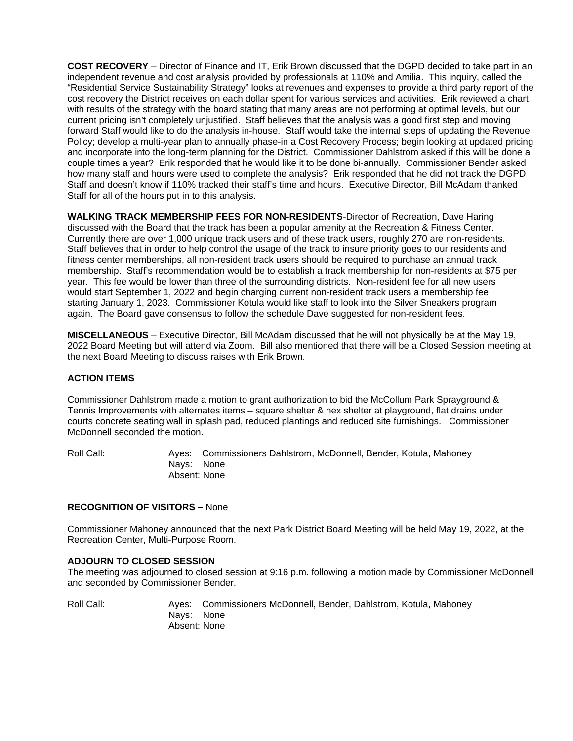**COST RECOVERY** – Director of Finance and IT, Erik Brown discussed that the DGPD decided to take part in an independent revenue and cost analysis provided by professionals at 110% and Amilia. This inquiry, called the "Residential Service Sustainability Strategy" looks at revenues and expenses to provide a third party report of the cost recovery the District receives on each dollar spent for various services and activities. Erik reviewed a chart with results of the strategy with the board stating that many areas are not performing at optimal levels, but our current pricing isn't completely unjustified. Staff believes that the analysis was a good first step and moving forward Staff would like to do the analysis in-house. Staff would take the internal steps of updating the Revenue Policy; develop a multi-year plan to annually phase-in a Cost Recovery Process; begin looking at updated pricing and incorporate into the long-term planning for the District. Commissioner Dahlstrom asked if this will be done a couple times a year? Erik responded that he would like it to be done bi-annually. Commissioner Bender asked how many staff and hours were used to complete the analysis? Erik responded that he did not track the DGPD Staff and doesn't know if 110% tracked their staff's time and hours. Executive Director, Bill McAdam thanked Staff for all of the hours put in to this analysis.

**WALKING TRACK MEMBERSHIP FEES FOR NON-RESIDENTS**-Director of Recreation, Dave Haring discussed with the Board that the track has been a popular amenity at the Recreation & Fitness Center. Currently there are over 1,000 unique track users and of these track users, roughly 270 are non-residents. Staff believes that in order to help control the usage of the track to insure priority goes to our residents and fitness center memberships, all non-resident track users should be required to purchase an annual track membership. Staff's recommendation would be to establish a track membership for non-residents at \$75 per year. This fee would be lower than three of the surrounding districts. Non-resident fee for all new users would start September 1, 2022 and begin charging current non-resident track users a membership fee starting January 1, 2023. Commissioner Kotula would like staff to look into the Silver Sneakers program again. The Board gave consensus to follow the schedule Dave suggested for non-resident fees.

**MISCELLANEOUS** – Executive Director, Bill McAdam discussed that he will not physically be at the May 19, 2022 Board Meeting but will attend via Zoom. Bill also mentioned that there will be a Closed Session meeting at the next Board Meeting to discuss raises with Erik Brown.

# **ACTION ITEMS**

Commissioner Dahlstrom made a motion to grant authorization to bid the McCollum Park Sprayground & Tennis Improvements with alternates items – square shelter & hex shelter at playground, flat drains under courts concrete seating wall in splash pad, reduced plantings and reduced site furnishings. Commissioner McDonnell seconded the motion.

Roll Call: Ayes: Commissioners Dahlstrom, McDonnell, Bender, Kotula, Mahoney Nays: None Absent: None

#### **RECOGNITION OF VISITORS –** None

Commissioner Mahoney announced that the next Park District Board Meeting will be held May 19, 2022, at the Recreation Center, Multi-Purpose Room.

#### **ADJOURN TO CLOSED SESSION**

The meeting was adjourned to closed session at 9:16 p.m. following a motion made by Commissioner McDonnell and seconded by Commissioner Bender.

Roll Call: Ayes: Commissioners McDonnell, Bender, Dahlstrom, Kotula, Mahoney Nays: None Absent: None